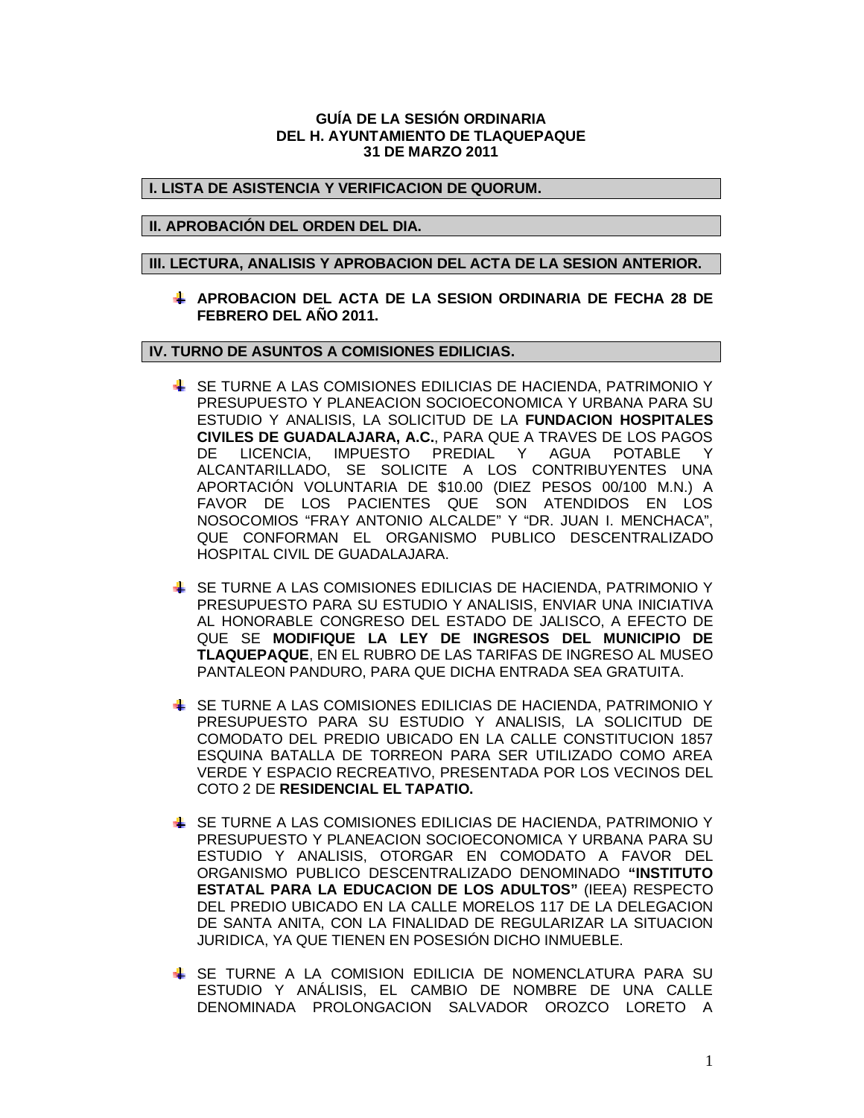#### **GUÍA DE LA SESIÓN ORDINARIA DEL H. AYUNTAMIENTO DE TLAQUEPAQUE 31 DE MARZO 2011**

## **I. LISTA DE ASISTENCIA Y VERIFICACION DE QUORUM.**

### **II. APROBACIÓN DEL ORDEN DEL DIA.**

## **III. LECTURA, ANALISIS Y APROBACION DEL ACTA DE LA SESION ANTERIOR.**

**APROBACION DEL ACTA DE LA SESION ORDINARIA DE FECHA 28 DE FEBRERO DEL AÑO 2011.**

#### **IV. TURNO DE ASUNTOS A COMISIONES EDILICIAS.**

- SE TURNE A LAS COMISIONES EDILICIAS DE HACIENDA, PATRIMONIO Y PRESUPUESTO Y PLANEACION SOCIOECONOMICA Y URBANA PARA SU ESTUDIO Y ANALISIS, LA SOLICITUD DE LA **FUNDACION HOSPITALES CIVILES DE GUADALAJARA, A.C.**, PARA QUE A TRAVES DE LOS PAGOS DE LICENCIA, IMPUESTO PREDIAL Y AGUA POTABLE Y ALCANTARILLADO, SE SOLICITE A LOS CONTRIBUYENTES UNA APORTACIÓN VOLUNTARIA DE \$10.00 (DIEZ PESOS 00/100 M.N.) A FAVOR DE LOS PACIENTES QUE SON ATENDIDOS EN LOS NOSOCOMIOS "FRAY ANTONIO ALCALDE" Y "DR. JUAN I. MENCHACA", QUE CONFORMAN EL ORGANISMO PUBLICO DESCENTRALIZADO HOSPITAL CIVIL DE GUADALAJARA.
- **SE TURNE A LAS COMISIONES EDILICIAS DE HACIENDA, PATRIMONIO Y** PRESUPUESTO PARA SU ESTUDIO Y ANALISIS, ENVIAR UNA INICIATIVA AL HONORABLE CONGRESO DEL ESTADO DE JALISCO, A EFECTO DE QUE SE **MODIFIQUE LA LEY DE INGRESOS DEL MUNICIPIO DE TLAQUEPAQUE**, EN EL RUBRO DE LAS TARIFAS DE INGRESO AL MUSEO PANTALEON PANDURO, PARA QUE DICHA ENTRADA SEA GRATUITA.
- SE TURNE A LAS COMISIONES EDILICIAS DE HACIENDA, PATRIMONIO Y PRESUPUESTO PARA SU ESTUDIO Y ANALISIS, LA SOLICITUD DE COMODATO DEL PREDIO UBICADO EN LA CALLE CONSTITUCION 1857 ESQUINA BATALLA DE TORREON PARA SER UTILIZADO COMO AREA VERDE Y ESPACIO RECREATIVO, PRESENTADA POR LOS VECINOS DEL COTO 2 DE **RESIDENCIAL EL TAPATIO.**
- SE TURNE A LAS COMISIONES EDILICIAS DE HACIENDA, PATRIMONIO Y PRESUPUESTO Y PLANEACION SOCIOECONOMICA Y URBANA PARA SU ESTUDIO Y ANALISIS, OTORGAR EN COMODATO A FAVOR DEL ORGANISMO PUBLICO DESCENTRALIZADO DENOMINADO **"INSTITUTO ESTATAL PARA LA EDUCACION DE LOS ADULTOS"** (IEEA) RESPECTO DEL PREDIO UBICADO EN LA CALLE MORELOS 117 DE LA DELEGACION DE SANTA ANITA, CON LA FINALIDAD DE REGULARIZAR LA SITUACION JURIDICA, YA QUE TIENEN EN POSESIÓN DICHO INMUEBLE.
- SE TURNE A LA COMISION EDILICIA DE NOMENCLATURA PARA SU ESTUDIO Y ANÁLISIS, EL CAMBIO DE NOMBRE DE UNA CALLE DENOMINADA PROLONGACION SALVADOR OROZCO LORETO A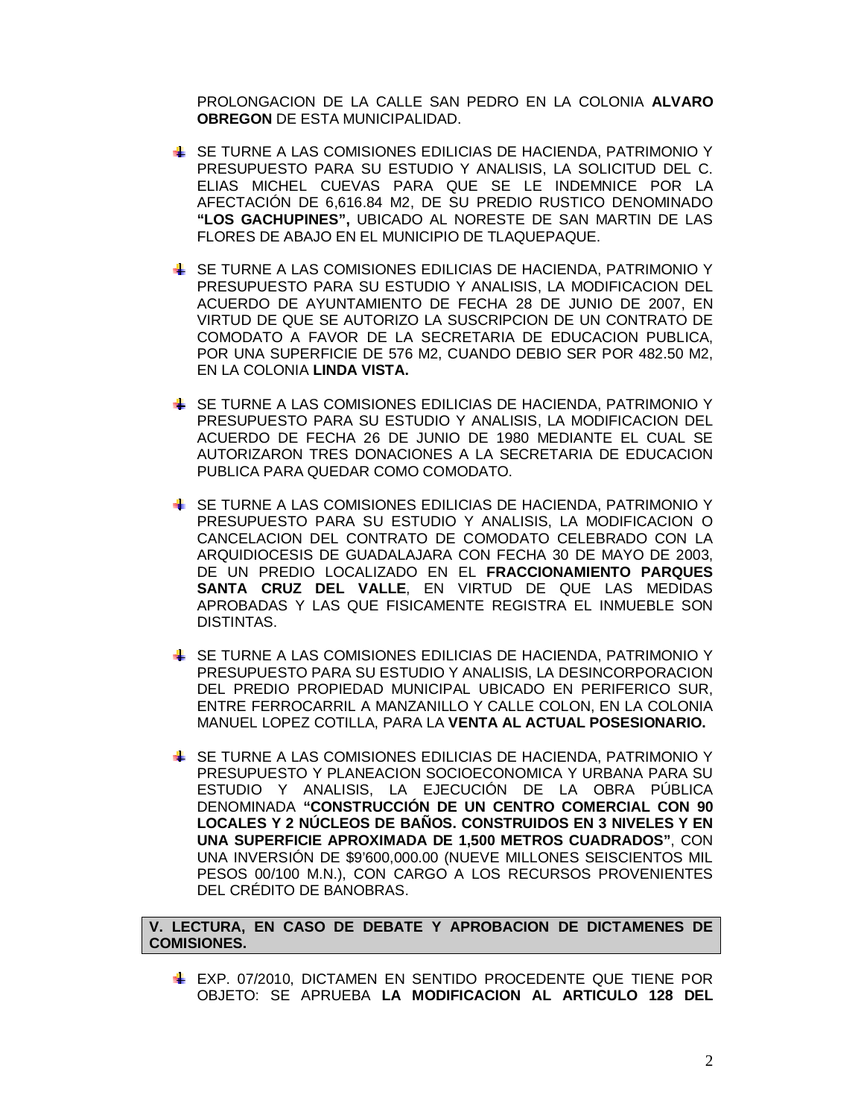PROLONGACION DE LA CALLE SAN PEDRO EN LA COLONIA **ALVARO OBREGON** DE ESTA MUNICIPALIDAD.

- SE TURNE A LAS COMISIONES EDILICIAS DE HACIENDA, PATRIMONIO Y PRESUPUESTO PARA SU ESTUDIO Y ANALISIS, LA SOLICITUD DEL C. ELIAS MICHEL CUEVAS PARA QUE SE LE INDEMNICE POR LA AFECTACIÓN DE 6,616.84 M2, DE SU PREDIO RUSTICO DENOMINADO **"LOS GACHUPINES",** UBICADO AL NORESTE DE SAN MARTIN DE LAS FLORES DE ABAJO EN EL MUNICIPIO DE TLAQUEPAQUE.
- SE TURNE A LAS COMISIONES EDILICIAS DE HACIENDA, PATRIMONIO Y PRESUPUESTO PARA SU ESTUDIO Y ANALISIS, LA MODIFICACION DEL ACUERDO DE AYUNTAMIENTO DE FECHA 28 DE JUNIO DE 2007, EN VIRTUD DE QUE SE AUTORIZO LA SUSCRIPCION DE UN CONTRATO DE COMODATO A FAVOR DE LA SECRETARIA DE EDUCACION PUBLICA, POR UNA SUPERFICIE DE 576 M2, CUANDO DEBIO SER POR 482.50 M2, EN LA COLONIA **LINDA VISTA.**
- SE TURNE A LAS COMISIONES EDILICIAS DE HACIENDA, PATRIMONIO Y PRESUPUESTO PARA SU ESTUDIO Y ANALISIS, LA MODIFICACION DEL ACUERDO DE FECHA 26 DE JUNIO DE 1980 MEDIANTE EL CUAL SE AUTORIZARON TRES DONACIONES A LA SECRETARIA DE EDUCACION PUBLICA PARA QUEDAR COMO COMODATO.
- SE TURNE A LAS COMISIONES EDILICIAS DE HACIENDA, PATRIMONIO Y PRESUPUESTO PARA SU ESTUDIO Y ANALISIS, LA MODIFICACION O CANCELACION DEL CONTRATO DE COMODATO CELEBRADO CON LA ARQUIDIOCESIS DE GUADALAJARA CON FECHA 30 DE MAYO DE 2003, DE UN PREDIO LOCALIZADO EN EL **FRACCIONAMIENTO PARQUES SANTA CRUZ DEL VALLE**, EN VIRTUD DE QUE LAS MEDIDAS APROBADAS Y LAS QUE FISICAMENTE REGISTRA EL INMUEBLE SON DISTINTAS.
- SE TURNE A LAS COMISIONES EDILICIAS DE HACIENDA, PATRIMONIO Y PRESUPUESTO PARA SU ESTUDIO Y ANALISIS, LA DESINCORPORACION DEL PREDIO PROPIEDAD MUNICIPAL UBICADO EN PERIFERICO SUR, ENTRE FERROCARRIL A MANZANILLO Y CALLE COLON, EN LA COLONIA MANUEL LOPEZ COTILLA, PARA LA **VENTA AL ACTUAL POSESIONARIO.**
- SE TURNE A LAS COMISIONES EDILICIAS DE HACIENDA, PATRIMONIO Y PRESUPUESTO Y PLANEACION SOCIOECONOMICA Y URBANA PARA SU ESTUDIO Y ANALISIS, LA EJECUCIÓN DE LA OBRA PÚBLICA DENOMINADA **"CONSTRUCCIÓN DE UN CENTRO COMERCIAL CON 90 LOCALES Y 2 NÚCLEOS DE BAÑOS. CONSTRUIDOS EN 3 NIVELES Y EN UNA SUPERFICIE APROXIMADA DE 1,500 METROS CUADRADOS"**, CON UNA INVERSIÓN DE \$9'600,000.00 (NUEVE MILLONES SEISCIENTOS MIL PESOS 00/100 M.N.), CON CARGO A LOS RECURSOS PROVENIENTES DEL CRÉDITO DE BANOBRAS.

# **V. LECTURA, EN CASO DE DEBATE Y APROBACION DE DICTAMENES DE COMISIONES.**

EXP. 07/2010, DICTAMEN EN SENTIDO PROCEDENTE QUE TIENE POR OBJETO: SE APRUEBA **LA MODIFICACION AL ARTICULO 128 DEL**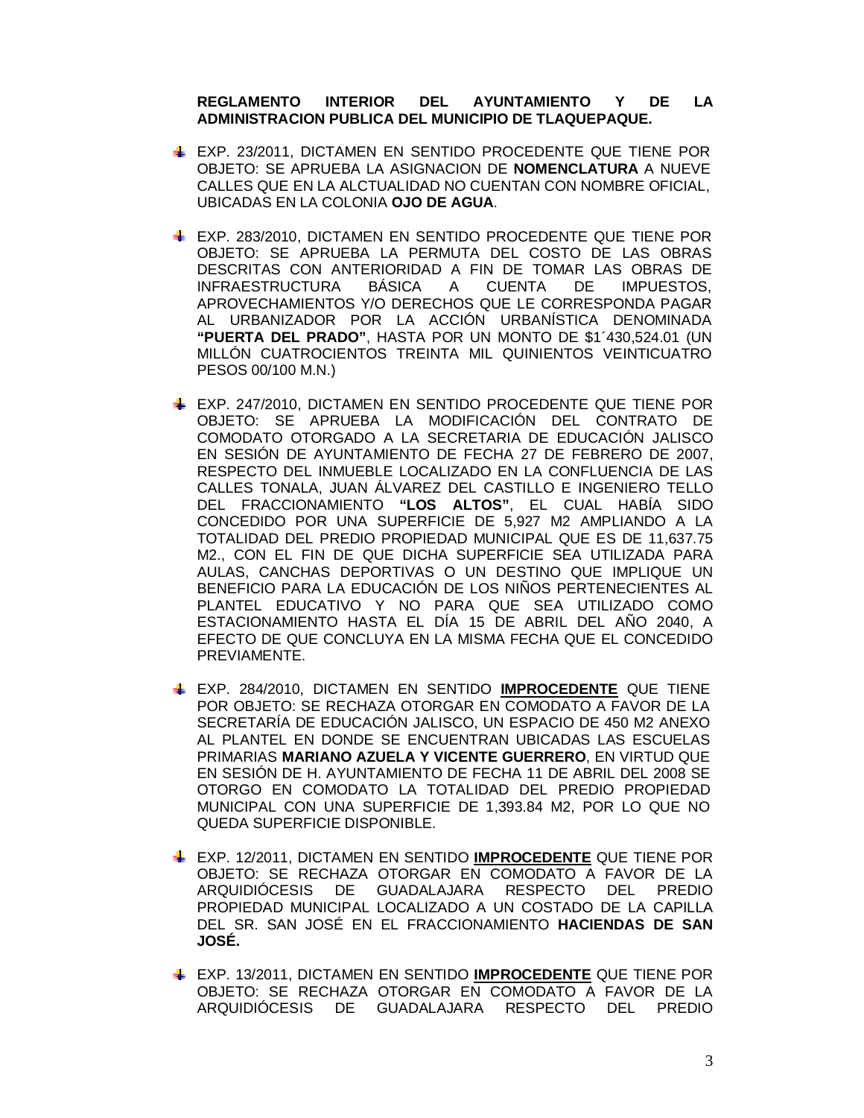# **REGLAMENTO INTERIOR DEL AYUNTAMIENTO Y DE LA ADMINISTRACION PUBLICA DEL MUNICIPIO DE TLAQUEPAQUE.**

- EXP. 23/2011, DICTAMEN EN SENTIDO PROCEDENTE QUE TIENE POR OBJETO: SE APRUEBA LA ASIGNACION DE **NOMENCLATURA** A NUEVE CALLES QUE EN LA ALCTUALIDAD NO CUENTAN CON NOMBRE OFICIAL, UBICADAS EN LA COLONIA **OJO DE AGUA**.
- **EXP. 283/2010, DICTAMEN EN SENTIDO PROCEDENTE QUE TIENE POR** OBJETO: SE APRUEBA LA PERMUTA DEL COSTO DE LAS OBRAS DESCRITAS CON ANTERIORIDAD A FIN DE TOMAR LAS OBRAS DE INFRAESTRUCTURA BÁSICA A CUENTA DE IMPUESTOS, APROVECHAMIENTOS Y/O DERECHOS QUE LE CORRESPONDA PAGAR AL URBANIZADOR POR LA ACCIÓN URBANÍSTICA DENOMINADA **"PUERTA DEL PRADO"**, HASTA POR UN MONTO DE \$1´430,524.01 (UN MILLÓN CUATROCIENTOS TREINTA MIL QUINIENTOS VEINTICUATRO PESOS 00/100 M.N.)
- EXP. 247/2010, DICTAMEN EN SENTIDO PROCEDENTE QUE TIENE POR OBJETO: SE APRUEBA LA MODIFICACIÓN DEL CONTRATO DE COMODATO OTORGADO A LA SECRETARIA DE EDUCACIÓN JALISCO EN SESIÓN DE AYUNTAMIENTO DE FECHA 27 DE FEBRERO DE 2007, RESPECTO DEL INMUEBLE LOCALIZADO EN LA CONFLUENCIA DE LAS CALLES TONALA, JUAN ÁLVAREZ DEL CASTILLO E INGENIERO TELLO DEL FRACCIONAMIENTO **"LOS ALTOS"**, EL CUAL HABÍA SIDO CONCEDIDO POR UNA SUPERFICIE DE 5,927 M2 AMPLIANDO A LA TOTALIDAD DEL PREDIO PROPIEDAD MUNICIPAL QUE ES DE 11,637.75 M2., CON EL FIN DE QUE DICHA SUPERFICIE SEA UTILIZADA PARA AULAS, CANCHAS DEPORTIVAS O UN DESTINO QUE IMPLIQUE UN BENEFICIO PARA LA EDUCACIÓN DE LOS NIÑOS PERTENECIENTES AL PLANTEL EDUCATIVO Y NO PARA QUE SEA UTILIZADO COMO ESTACIONAMIENTO HASTA EL DÍA 15 DE ABRIL DEL AÑO 2040, A EFECTO DE QUE CONCLUYA EN LA MISMA FECHA QUE EL CONCEDIDO PREVIAMENTE.
- EXP. 284/2010, DICTAMEN EN SENTIDO **IMPROCEDENTE** QUE TIENE POR OBJETO: SE RECHAZA OTORGAR EN COMODATO A FAVOR DE LA SECRETARÍA DE EDUCACIÓN JALISCO, UN ESPACIO DE 450 M2 ANEXO AL PLANTEL EN DONDE SE ENCUENTRAN UBICADAS LAS ESCUELAS PRIMARIAS **MARIANO AZUELA Y VICENTE GUERRERO**, EN VIRTUD QUE EN SESIÓN DE H. AYUNTAMIENTO DE FECHA 11 DE ABRIL DEL 2008 SE OTORGO EN COMODATO LA TOTALIDAD DEL PREDIO PROPIEDAD MUNICIPAL CON UNA SUPERFICIE DE 1,393.84 M2, POR LO QUE NO QUEDA SUPERFICIE DISPONIBLE.
- EXP. 12/2011, DICTAMEN EN SENTIDO **IMPROCEDENTE** QUE TIENE POR OBJETO: SE RECHAZA OTORGAR EN COMODATO A FAVOR DE LA ARQUIDIÓCESIS DE GUADALAJARA RESPECTO DEL PREDIO PROPIEDAD MUNICIPAL LOCALIZADO A UN COSTADO DE LA CAPILLA DEL SR. SAN JOSÉ EN EL FRACCIONAMIENTO **HACIENDAS DE SAN JOSÉ.**
- EXP. 13/2011, DICTAMEN EN SENTIDO **IMPROCEDENTE** QUE TIENE POR OBJETO: SE RECHAZA OTORGAR EN COMODATO A FAVOR DE LA ARQUIDIÓCESIS DE GUADALAJARA RESPECTO DEL PREDIO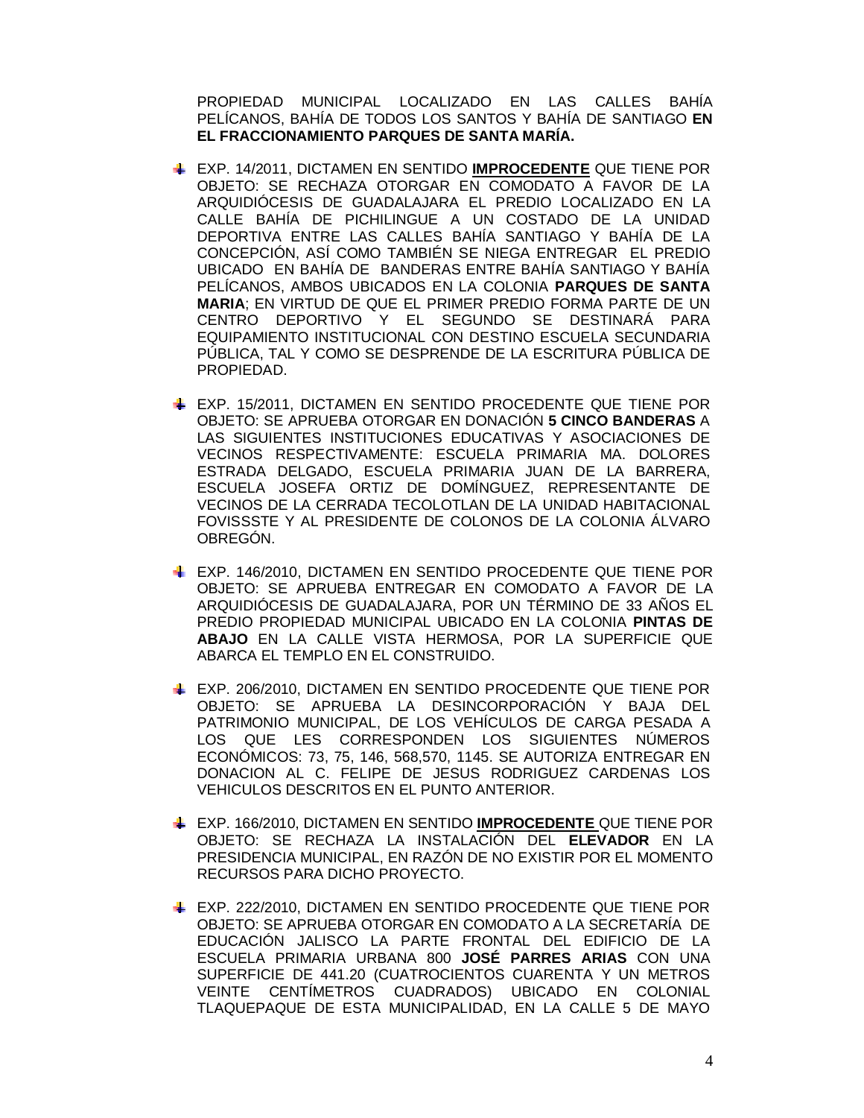PROPIEDAD MUNICIPAL LOCALIZADO EN LAS CALLES BAHÍA PELÍCANOS, BAHÍA DE TODOS LOS SANTOS Y BAHÍA DE SANTIAGO **EN EL FRACCIONAMIENTO PARQUES DE SANTA MARÍA.**

- EXP. 14/2011, DICTAMEN EN SENTIDO **IMPROCEDENTE** QUE TIENE POR OBJETO: SE RECHAZA OTORGAR EN COMODATO A FAVOR DE LA ARQUIDIÓCESIS DE GUADALAJARA EL PREDIO LOCALIZADO EN LA CALLE BAHÍA DE PICHILINGUE A UN COSTADO DE LA UNIDAD DEPORTIVA ENTRE LAS CALLES BAHÍA SANTIAGO Y BAHÍA DE LA CONCEPCIÓN, ASÍ COMO TAMBIÉN SE NIEGA ENTREGAR EL PREDIO UBICADO EN BAHÍA DE BANDERAS ENTRE BAHÍA SANTIAGO Y BAHÍA PELÍCANOS, AMBOS UBICADOS EN LA COLONIA **PARQUES DE SANTA MARIA**; EN VIRTUD DE QUE EL PRIMER PREDIO FORMA PARTE DE UN CENTRO DEPORTIVO Y EL SEGUNDO SE DESTINARÁ PARA EQUIPAMIENTO INSTITUCIONAL CON DESTINO ESCUELA SECUNDARIA PÚBLICA, TAL Y COMO SE DESPRENDE DE LA ESCRITURA PÚBLICA DE PROPIEDAD.
- EXP. 15/2011, DICTAMEN EN SENTIDO PROCEDENTE QUE TIENE POR OBJETO: SE APRUEBA OTORGAR EN DONACIÓN **5 CINCO BANDERAS** A LAS SIGUIENTES INSTITUCIONES EDUCATIVAS Y ASOCIACIONES DE VECINOS RESPECTIVAMENTE: ESCUELA PRIMARIA MA. DOLORES ESTRADA DELGADO, ESCUELA PRIMARIA JUAN DE LA BARRERA, ESCUELA JOSEFA ORTIZ DE DOMÍNGUEZ, REPRESENTANTE DE VECINOS DE LA CERRADA TECOLOTLAN DE LA UNIDAD HABITACIONAL FOVISSSTE Y AL PRESIDENTE DE COLONOS DE LA COLONIA ÁLVARO OBREGÓN.
- EXP. 146/2010, DICTAMEN EN SENTIDO PROCEDENTE QUE TIENE POR OBJETO: SE APRUEBA ENTREGAR EN COMODATO A FAVOR DE LA ARQUIDIÓCESIS DE GUADALAJARA, POR UN TÉRMINO DE 33 AÑOS EL PREDIO PROPIEDAD MUNICIPAL UBICADO EN LA COLONIA **PINTAS DE ABAJO** EN LA CALLE VISTA HERMOSA, POR LA SUPERFICIE QUE ABARCA EL TEMPLO EN EL CONSTRUIDO.
- EXP. 206/2010, DICTAMEN EN SENTIDO PROCEDENTE QUE TIENE POR OBJETO: SE APRUEBA LA DESINCORPORACIÓN Y BAJA DEL PATRIMONIO MUNICIPAL, DE LOS VEHÍCULOS DE CARGA PESADA A LOS QUE LES CORRESPONDEN LOS SIGUIENTES NÚMEROS ECONÓMICOS: 73, 75, 146, 568,570, 1145. SE AUTORIZA ENTREGAR EN DONACION AL C. FELIPE DE JESUS RODRIGUEZ CARDENAS LOS VEHICULOS DESCRITOS EN EL PUNTO ANTERIOR.
- EXP. 166/2010, DICTAMEN EN SENTIDO **IMPROCEDENTE** QUE TIENE POR OBJETO: SE RECHAZA LA INSTALACIÓN DEL **ELEVADOR** EN LA PRESIDENCIA MUNICIPAL, EN RAZÓN DE NO EXISTIR POR EL MOMENTO RECURSOS PARA DICHO PROYECTO.
- EXP. 222/2010, DICTAMEN EN SENTIDO PROCEDENTE QUE TIENE POR OBJETO: SE APRUEBA OTORGAR EN COMODATO A LA SECRETARÍA DE EDUCACIÓN JALISCO LA PARTE FRONTAL DEL EDIFICIO DE LA ESCUELA PRIMARIA URBANA 800 **JOSÉ PARRES ARIAS** CON UNA SUPERFICIE DE 441.20 (CUATROCIENTOS CUARENTA Y UN METROS VEINTE CENTÍMETROS CUADRADOS) UBICADO EN COLONIAL TLAQUEPAQUE DE ESTA MUNICIPALIDAD, EN LA CALLE 5 DE MAYO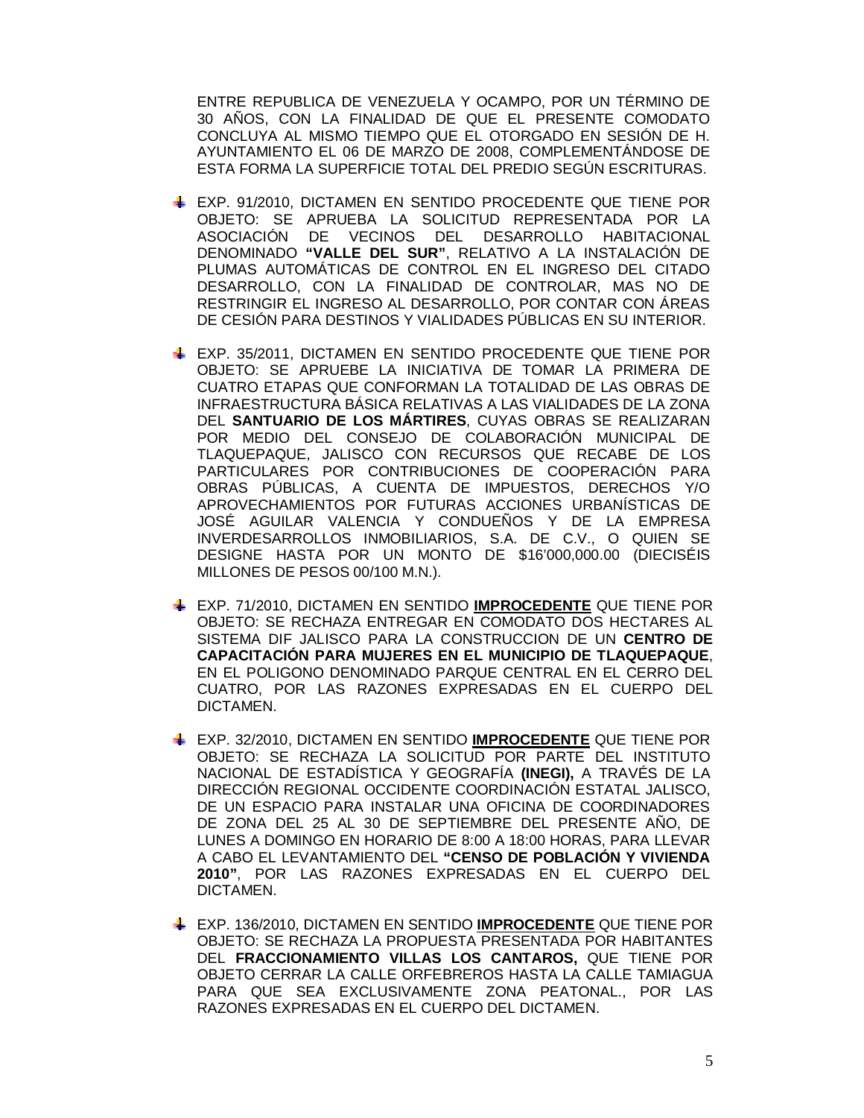ENTRE REPUBLICA DE VENEZUELA Y OCAMPO, POR UN TÉRMINO DE 30 AÑOS, CON LA FINALIDAD DE QUE EL PRESENTE COMODATO CONCLUYA AL MISMO TIEMPO QUE EL OTORGADO EN SESIÓN DE H. AYUNTAMIENTO EL 06 DE MARZO DE 2008, COMPLEMENTÁNDOSE DE ESTA FORMA LA SUPERFICIE TOTAL DEL PREDIO SEGÚN ESCRITURAS.

- EXP. 91/2010, DICTAMEN EN SENTIDO PROCEDENTE QUE TIENE POR OBJETO: SE APRUEBA LA SOLICITUD REPRESENTADA POR LA ASOCIACIÓN DE VECINOS DEL DESARROLLO HABITACIONAL DENOMINADO **"VALLE DEL SUR"**, RELATIVO A LA INSTALACIÓN DE PLUMAS AUTOMÁTICAS DE CONTROL EN EL INGRESO DEL CITADO DESARROLLO, CON LA FINALIDAD DE CONTROLAR, MAS NO DE RESTRINGIR EL INGRESO AL DESARROLLO, POR CONTAR CON ÁREAS DE CESIÓN PARA DESTINOS Y VIALIDADES PÚBLICAS EN SU INTERIOR.
- EXP. 35/2011, DICTAMEN EN SENTIDO PROCEDENTE QUE TIENE POR OBJETO: SE APRUEBE LA INICIATIVA DE TOMAR LA PRIMERA DE CUATRO ETAPAS QUE CONFORMAN LA TOTALIDAD DE LAS OBRAS DE INFRAESTRUCTURA BÁSICA RELATIVAS A LAS VIALIDADES DE LA ZONA DEL **SANTUARIO DE LOS MÁRTIRES**, CUYAS OBRAS SE REALIZARAN POR MEDIO DEL CONSEJO DE COLABORACIÓN MUNICIPAL DE TLAQUEPAQUE, JALISCO CON RECURSOS QUE RECABE DE LOS PARTICULARES POR CONTRIBUCIONES DE COOPERACIÓN PARA OBRAS PÚBLICAS, A CUENTA DE IMPUESTOS, DERECHOS Y/O APROVECHAMIENTOS POR FUTURAS ACCIONES URBANÍSTICAS DE JOSÉ AGUILAR VALENCIA Y CONDUEÑOS Y DE LA EMPRESA INVERDESARROLLOS INMOBILIARIOS, S.A. DE C.V., O QUIEN SE DESIGNE HASTA POR UN MONTO DE \$16'000,000.00 (DIECISÉIS MILLONES DE PESOS 00/100 M.N.).
- EXP. 71/2010, DICTAMEN EN SENTIDO **IMPROCEDENTE** QUE TIENE POR OBJETO: SE RECHAZA ENTREGAR EN COMODATO DOS HECTARES AL SISTEMA DIF JALISCO PARA LA CONSTRUCCION DE UN **CENTRO DE CAPACITACIÓN PARA MUJERES EN EL MUNICIPIO DE TLAQUEPAQUE**, EN EL POLIGONO DENOMINADO PARQUE CENTRAL EN EL CERRO DEL CUATRO, POR LAS RAZONES EXPRESADAS EN EL CUERPO DEL DICTAMEN.
- EXP. 32/2010, DICTAMEN EN SENTIDO **IMPROCEDENTE** QUE TIENE POR OBJETO: SE RECHAZA LA SOLICITUD POR PARTE DEL INSTITUTO NACIONAL DE ESTADÍSTICA Y GEOGRAFÍA **(INEGI),** A TRAVÉS DE LA DIRECCIÓN REGIONAL OCCIDENTE COORDINACIÓN ESTATAL JALISCO, DE UN ESPACIO PARA INSTALAR UNA OFICINA DE COORDINADORES DE ZONA DEL 25 AL 30 DE SEPTIEMBRE DEL PRESENTE AÑO, DE LUNES A DOMINGO EN HORARIO DE 8:00 A 18:00 HORAS, PARA LLEVAR A CABO EL LEVANTAMIENTO DEL **"CENSO DE POBLACIÓN Y VIVIENDA 2010"**, POR LAS RAZONES EXPRESADAS EN EL CUERPO DEL DICTAMEN.
- EXP. 136/2010, DICTAMEN EN SENTIDO **IMPROCEDENTE** QUE TIENE POR OBJETO: SE RECHAZA LA PROPUESTA PRESENTADA POR HABITANTES DEL **FRACCIONAMIENTO VILLAS LOS CANTAROS,** QUE TIENE POR OBJETO CERRAR LA CALLE ORFEBREROS HASTA LA CALLE TAMIAGUA PARA QUE SEA EXCLUSIVAMENTE ZONA PEATONAL., POR LAS RAZONES EXPRESADAS EN EL CUERPO DEL DICTAMEN.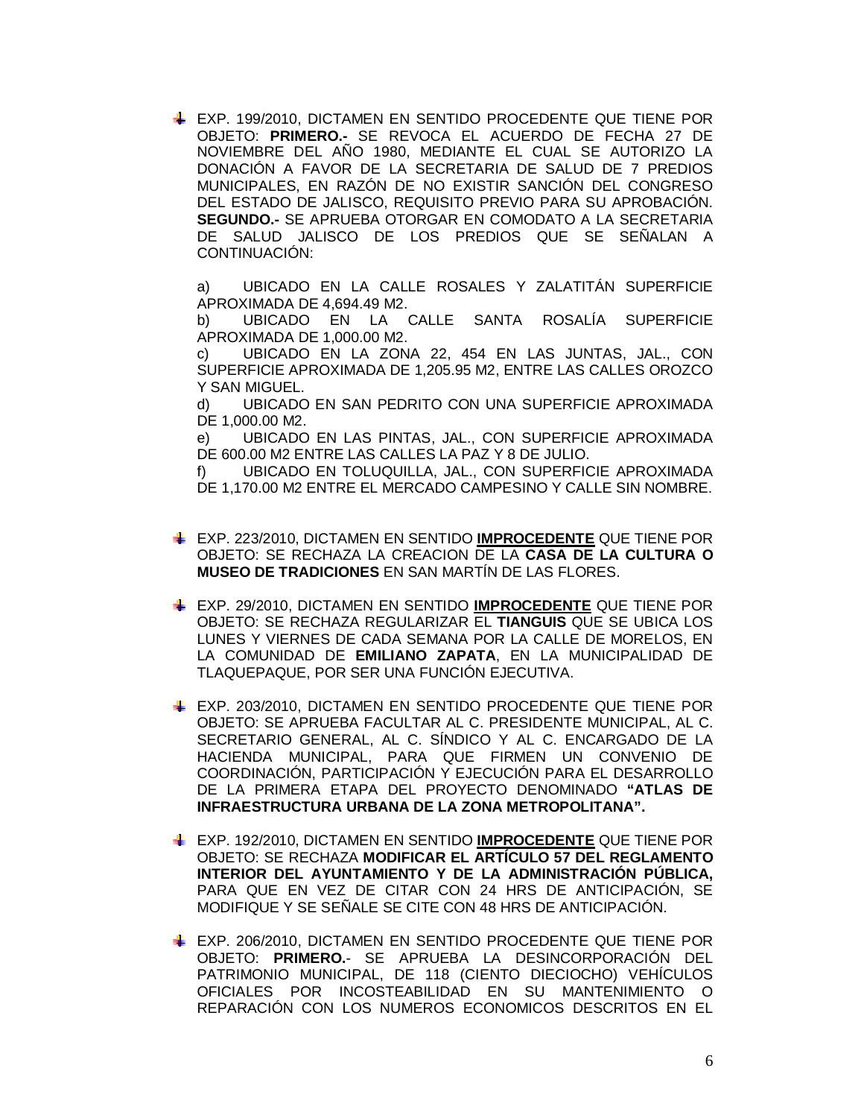EXP. 199/2010, DICTAMEN EN SENTIDO PROCEDENTE QUE TIENE POR OBJETO: **PRIMERO.-** SE REVOCA EL ACUERDO DE FECHA 27 DE NOVIEMBRE DEL AÑO 1980, MEDIANTE EL CUAL SE AUTORIZO LA DONACIÓN A FAVOR DE LA SECRETARIA DE SALUD DE 7 PREDIOS MUNICIPALES, EN RAZÓN DE NO EXISTIR SANCIÓN DEL CONGRESO DEL ESTADO DE JALISCO, REQUISITO PREVIO PARA SU APROBACIÓN. **SEGUNDO.-** SE APRUEBA OTORGAR EN COMODATO A LA SECRETARIA DE SALUD JALISCO DE LOS PREDIOS QUE SE SEÑALAN A CONTINUACIÓN:

a) UBICADO EN LA CALLE ROSALES Y ZALATITÁN SUPERFICIE APROXIMADA DE 4,694.49 M2.

b) UBICADO EN LA CALLE SANTA ROSALÍA SUPERFICIE APROXIMADA DE 1,000.00 M2.

c) UBICADO EN LA ZONA 22, 454 EN LAS JUNTAS, JAL., CON SUPERFICIE APROXIMADA DE 1,205.95 M2, ENTRE LAS CALLES OROZCO Y SAN MIGUEL.

d) UBICADO EN SAN PEDRITO CON UNA SUPERFICIE APROXIMADA DE 1,000.00 M2.

e) UBICADO EN LAS PINTAS, JAL., CON SUPERFICIE APROXIMADA DE 600.00 M2 ENTRE LAS CALLES LA PAZ Y 8 DE JULIO.

f) UBICADO EN TOLUQUILLA, JAL., CON SUPERFICIE APROXIMADA DE 1,170.00 M2 ENTRE EL MERCADO CAMPESINO Y CALLE SIN NOMBRE.

- EXP. 223/2010, DICTAMEN EN SENTIDO **IMPROCEDENTE** QUE TIENE POR OBJETO: SE RECHAZA LA CREACION DE LA **CASA DE LA CULTURA O MUSEO DE TRADICIONES** EN SAN MARTÍN DE LAS FLORES.
- EXP. 29/2010, DICTAMEN EN SENTIDO **IMPROCEDENTE** QUE TIENE POR OBJETO: SE RECHAZA REGULARIZAR EL **TIANGUIS** QUE SE UBICA LOS LUNES Y VIERNES DE CADA SEMANA POR LA CALLE DE MORELOS, EN LA COMUNIDAD DE **EMILIANO ZAPATA**, EN LA MUNICIPALIDAD DE TLAQUEPAQUE, POR SER UNA FUNCIÓN EJECUTIVA.
- EXP. 203/2010, DICTAMEN EN SENTIDO PROCEDENTE QUE TIENE POR OBJETO: SE APRUEBA FACULTAR AL C. PRESIDENTE MUNICIPAL, AL C. SECRETARIO GENERAL, AL C. SÍNDICO Y AL C. ENCARGADO DE LA HACIENDA MUNICIPAL, PARA QUE FIRMEN UN CONVENIO DE COORDINACIÓN, PARTICIPACIÓN Y EJECUCIÓN PARA EL DESARROLLO DE LA PRIMERA ETAPA DEL PROYECTO DENOMINADO **"ATLAS DE INFRAESTRUCTURA URBANA DE LA ZONA METROPOLITANA".**
- EXP. 192/2010, DICTAMEN EN SENTIDO **IMPROCEDENTE** QUE TIENE POR OBJETO: SE RECHAZA **MODIFICAR EL ARTÍCULO 57 DEL REGLAMENTO INTERIOR DEL AYUNTAMIENTO Y DE LA ADMINISTRACIÓN PÚBLICA,**  PARA QUE EN VEZ DE CITAR CON 24 HRS DE ANTICIPACIÓN, SE MODIFIQUE Y SE SEÑALE SE CITE CON 48 HRS DE ANTICIPACIÓN.
- EXP. 206/2010, DICTAMEN EN SENTIDO PROCEDENTE QUE TIENE POR OBJETO: **PRIMERO.**- SE APRUEBA LA DESINCORPORACIÓN DEL PATRIMONIO MUNICIPAL, DE 118 (CIENTO DIECIOCHO) VEHÍCULOS OFICIALES POR INCOSTEABILIDAD EN SU MANTENIMIENTO O REPARACIÓN CON LOS NUMEROS ECONOMICOS DESCRITOS EN EL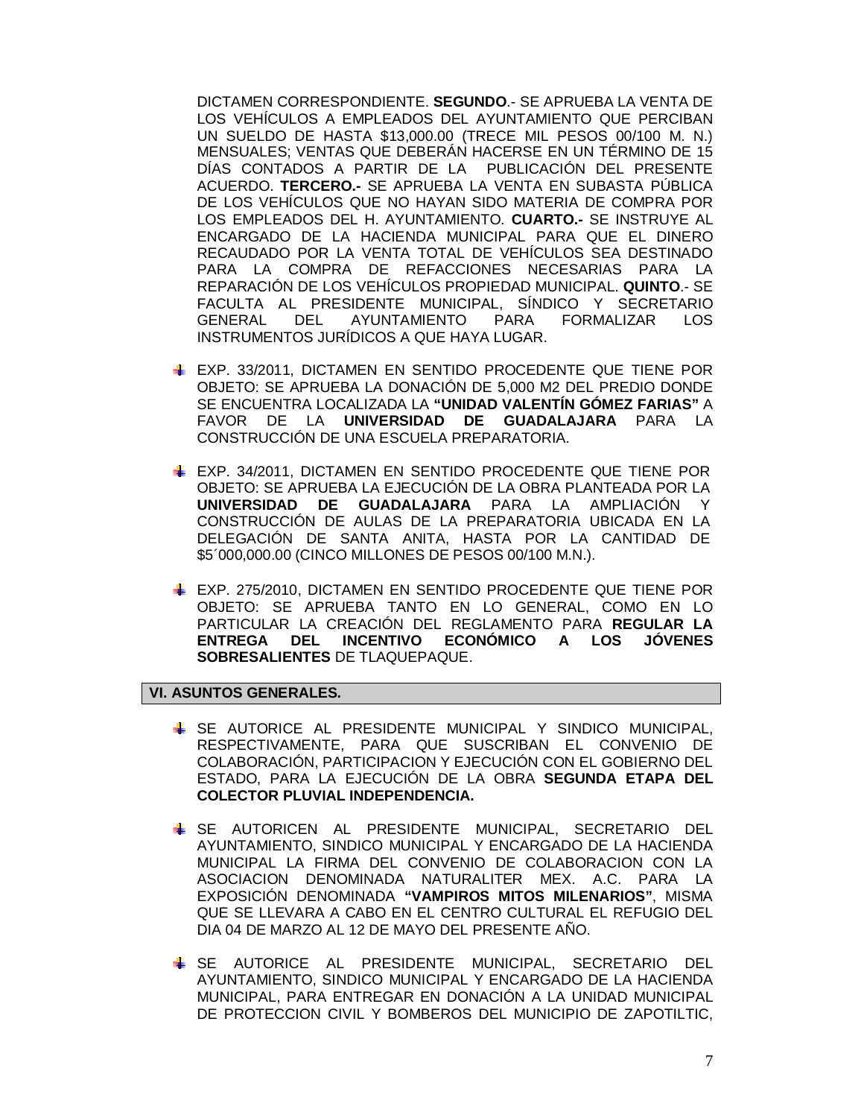DICTAMEN CORRESPONDIENTE. **SEGUNDO**.- SE APRUEBA LA VENTA DE LOS VEHÍCULOS A EMPLEADOS DEL AYUNTAMIENTO QUE PERCIBAN UN SUELDO DE HASTA \$13,000.00 (TRECE MIL PESOS 00/100 M. N.) MENSUALES; VENTAS QUE DEBERÁN HACERSE EN UN TÉRMINO DE 15 DÍAS CONTADOS A PARTIR DE LA PUBLICACIÓN DEL PRESENTE ACUERDO. **TERCERO.-** SE APRUEBA LA VENTA EN SUBASTA PÚBLICA DE LOS VEHÍCULOS QUE NO HAYAN SIDO MATERIA DE COMPRA POR LOS EMPLEADOS DEL H. AYUNTAMIENTO. **CUARTO.-** SE INSTRUYE AL ENCARGADO DE LA HACIENDA MUNICIPAL PARA QUE EL DINERO RECAUDADO POR LA VENTA TOTAL DE VEHÍCULOS SEA DESTINADO PARA LA COMPRA DE REFACCIONES NECESARIAS PARA LA REPARACIÓN DE LOS VEHÍCULOS PROPIEDAD MUNICIPAL. **QUINTO**.- SE FACULTA AL PRESIDENTE MUNICIPAL, SÍNDICO Y SECRETARIO GENERAL DEL AYUNTAMIENTO PARA FORMALIZAR LOS INSTRUMENTOS JURÍDICOS A QUE HAYA LUGAR.

- EXP. 33/2011, DICTAMEN EN SENTIDO PROCEDENTE QUE TIENE POR OBJETO: SE APRUEBA LA DONACIÓN DE 5,000 M2 DEL PREDIO DONDE SE ENCUENTRA LOCALIZADA LA **"UNIDAD VALENTÍN GÓMEZ FARIAS"** A FAVOR DE LA **UNIVERSIDAD DE GUADALAJARA** PARA LA CONSTRUCCIÓN DE UNA ESCUELA PREPARATORIA.
- EXP. 34/2011, DICTAMEN EN SENTIDO PROCEDENTE QUE TIENE POR OBJETO: SE APRUEBA LA EJECUCIÓN DE LA OBRA PLANTEADA POR LA **UNIVERSIDAD DE GUADALAJARA** PARA LA AMPLIACIÓN Y CONSTRUCCIÓN DE AULAS DE LA PREPARATORIA UBICADA EN LA DELEGACIÓN DE SANTA ANITA, HASTA POR LA CANTIDAD DE \$5´000,000.00 (CINCO MILLONES DE PESOS 00/100 M.N.).
- EXP. 275/2010, DICTAMEN EN SENTIDO PROCEDENTE QUE TIENE POR OBJETO: SE APRUEBA TANTO EN LO GENERAL, COMO EN LO PARTICULAR LA CREACIÓN DEL REGLAMENTO PARA **REGULAR LA ENTREGA DEL INCENTIVO ECONÓMICO A LOS JÓVENES SOBRESALIENTES** DE TLAQUEPAQUE.

# **VI. ASUNTOS GENERALES.**

- SE AUTORICE AL PRESIDENTE MUNICIPAL Y SINDICO MUNICIPAL, RESPECTIVAMENTE, PARA QUE SUSCRIBAN EL CONVENIO DE COLABORACIÓN, PARTICIPACION Y EJECUCIÓN CON EL GOBIERNO DEL ESTADO, PARA LA EJECUCIÓN DE LA OBRA **SEGUNDA ETAPA DEL COLECTOR PLUVIAL INDEPENDENCIA.**
- SE AUTORICEN AL PRESIDENTE MUNICIPAL, SECRETARIO DEL AYUNTAMIENTO, SINDICO MUNICIPAL Y ENCARGADO DE LA HACIENDA MUNICIPAL LA FIRMA DEL CONVENIO DE COLABORACION CON LA ASOCIACION DENOMINADA NATURALITER MEX. A.C. PARA LA EXPOSICIÓN DENOMINADA **"VAMPIROS MITOS MILENARIOS"**, MISMA QUE SE LLEVARA A CABO EN EL CENTRO CULTURAL EL REFUGIO DEL DIA 04 DE MARZO AL 12 DE MAYO DEL PRESENTE AÑO.
- SE AUTORICE AL PRESIDENTE MUNICIPAL, SECRETARIO DEL AYUNTAMIENTO, SINDICO MUNICIPAL Y ENCARGADO DE LA HACIENDA MUNICIPAL, PARA ENTREGAR EN DONACIÓN A LA UNIDAD MUNICIPAL DE PROTECCION CIVIL Y BOMBEROS DEL MUNICIPIO DE ZAPOTILTIC,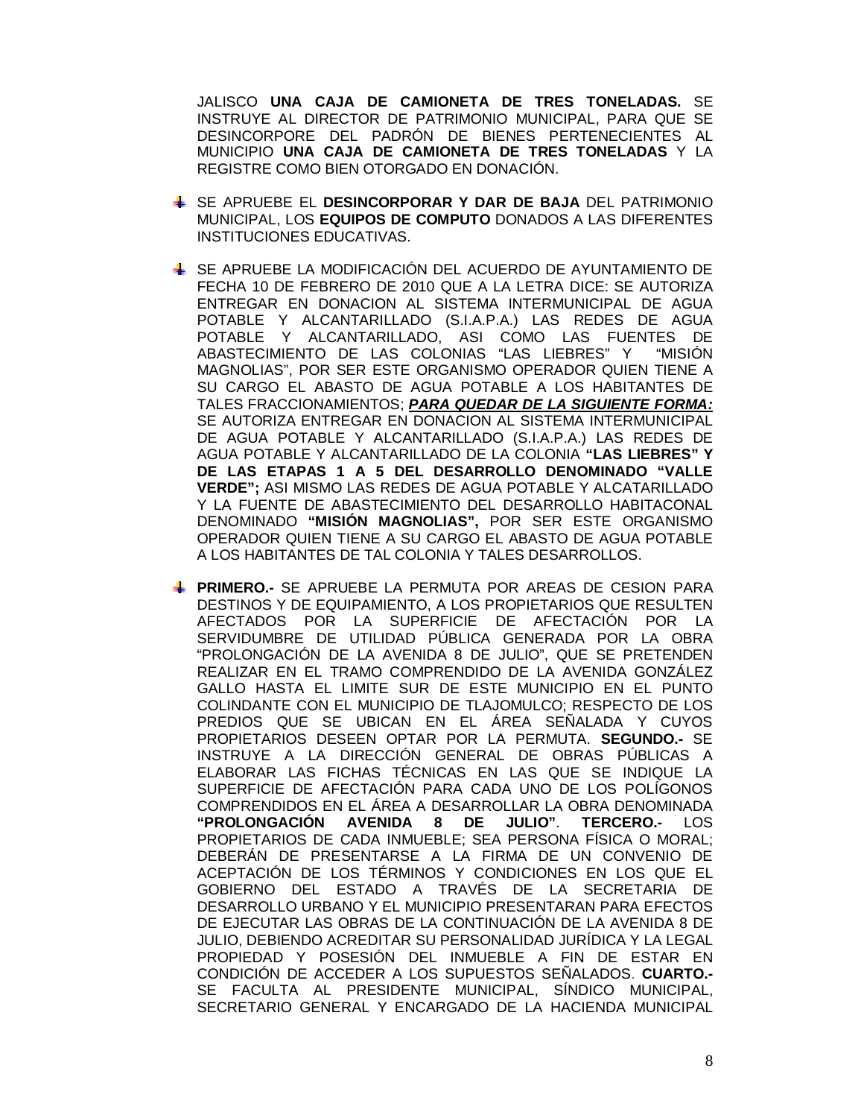JALISCO **UNA CAJA DE CAMIONETA DE TRES TONELADAS.** SE INSTRUYE AL DIRECTOR DE PATRIMONIO MUNICIPAL, PARA QUE SE DESINCORPORE DEL PADRÓN DE BIENES PERTENECIENTES AL MUNICIPIO **UNA CAJA DE CAMIONETA DE TRES TONELADAS** Y LA REGISTRE COMO BIEN OTORGADO EN DONACIÓN.

- SE APRUEBE EL **DESINCORPORAR Y DAR DE BAJA** DEL PATRIMONIO MUNICIPAL, LOS **EQUIPOS DE COMPUTO** DONADOS A LAS DIFERENTES INSTITUCIONES EDUCATIVAS.
- SE APRUEBE LA MODIFICACIÓN DEL ACUERDO DE AYUNTAMIENTO DE FECHA 10 DE FEBRERO DE 2010 QUE A LA LETRA DICE: SE AUTORIZA ENTREGAR EN DONACION AL SISTEMA INTERMUNICIPAL DE AGUA POTABLE Y ALCANTARILLADO (S.I.A.P.A.) LAS REDES DE AGUA POTABLE Y ALCANTARILLADO, ASI COMO LAS FUENTES DE ABASTECIMIENTO DE LAS COLONIAS "LAS LIEBRES" Y "MISIÓN MAGNOLIAS", POR SER ESTE ORGANISMO OPERADOR QUIEN TIENE A SU CARGO EL ABASTO DE AGUA POTABLE A LOS HABITANTES DE TALES FRACCIONAMIENTOS; *PARA QUEDAR DE LA SIGUIENTE FORMA:* SE AUTORIZA ENTREGAR EN DONACION AL SISTEMA INTERMUNICIPAL DE AGUA POTABLE Y ALCANTARILLADO (S.I.A.P.A.) LAS REDES DE AGUA POTABLE Y ALCANTARILLADO DE LA COLONIA **"LAS LIEBRES" Y DE LAS ETAPAS 1 A 5 DEL DESARROLLO DENOMINADO "VALLE VERDE";** ASI MISMO LAS REDES DE AGUA POTABLE Y ALCATARILLADO Y LA FUENTE DE ABASTECIMIENTO DEL DESARROLLO HABITACONAL DENOMINADO **"MISIÓN MAGNOLIAS",** POR SER ESTE ORGANISMO OPERADOR QUIEN TIENE A SU CARGO EL ABASTO DE AGUA POTABLE A LOS HABITANTES DE TAL COLONIA Y TALES DESARROLLOS.
- **PRIMERO.-** SE APRUEBE LA PERMUTA POR AREAS DE CESION PARA DESTINOS Y DE EQUIPAMIENTO, A LOS PROPIETARIOS QUE RESULTEN AFECTADOS POR LA SUPERFICIE DE AFECTACIÓN POR LA SERVIDUMBRE DE UTILIDAD PÚBLICA GENERADA POR LA OBRA "PROLONGACIÓN DE LA AVENIDA 8 DE JULIO", QUE SE PRETENDEN REALIZAR EN EL TRAMO COMPRENDIDO DE LA AVENIDA GONZÁLEZ GALLO HASTA EL LIMITE SUR DE ESTE MUNICIPIO EN EL PUNTO COLINDANTE CON EL MUNICIPIO DE TLAJOMULCO; RESPECTO DE LOS PREDIOS QUE SE UBICAN EN EL ÁREA SEÑALADA Y CUYOS PROPIETARIOS DESEEN OPTAR POR LA PERMUTA. **SEGUNDO.-** SE INSTRUYE A LA DIRECCIÓN GENERAL DE OBRAS PÚBLICAS A ELABORAR LAS FICHAS TÉCNICAS EN LAS QUE SE INDIQUE LA SUPERFICIE DE AFECTACIÓN PARA CADA UNO DE LOS POLÍGONOS COMPRENDIDOS EN EL ÁREA A DESARROLLAR LA OBRA DENOMINADA<br>"PR**OLONGACIÓN AVENIDA 8 DE JULIO**". **TERCERO.-** LOS **"PROLONGACIÓN AVENIDA 8 DE JULIO"**. **TERCERO.-** LOS PROPIETARIOS DE CADA INMUEBLE; SEA PERSONA FÍSICA O MORAL; DEBERÁN DE PRESENTARSE A LA FIRMA DE UN CONVENIO DE ACEPTACIÓN DE LOS TÉRMINOS Y CONDICIONES EN LOS QUE EL GOBIERNO DEL ESTADO A TRAVÉS DE LA SECRETARIA DE DESARROLLO URBANO Y EL MUNICIPIO PRESENTARAN PARA EFECTOS DE EJECUTAR LAS OBRAS DE LA CONTINUACIÓN DE LA AVENIDA 8 DE JULIO, DEBIENDO ACREDITAR SU PERSONALIDAD JURÍDICA Y LA LEGAL PROPIEDAD Y POSESIÓN DEL INMUEBLE A FIN DE ESTAR EN CONDICIÓN DE ACCEDER A LOS SUPUESTOS SEÑALADOS. **CUARTO.-** SE FACULTA AL PRESIDENTE MUNICIPAL, SÍNDICO MUNICIPAL, SECRETARIO GENERAL Y ENCARGADO DE LA HACIENDA MUNICIPAL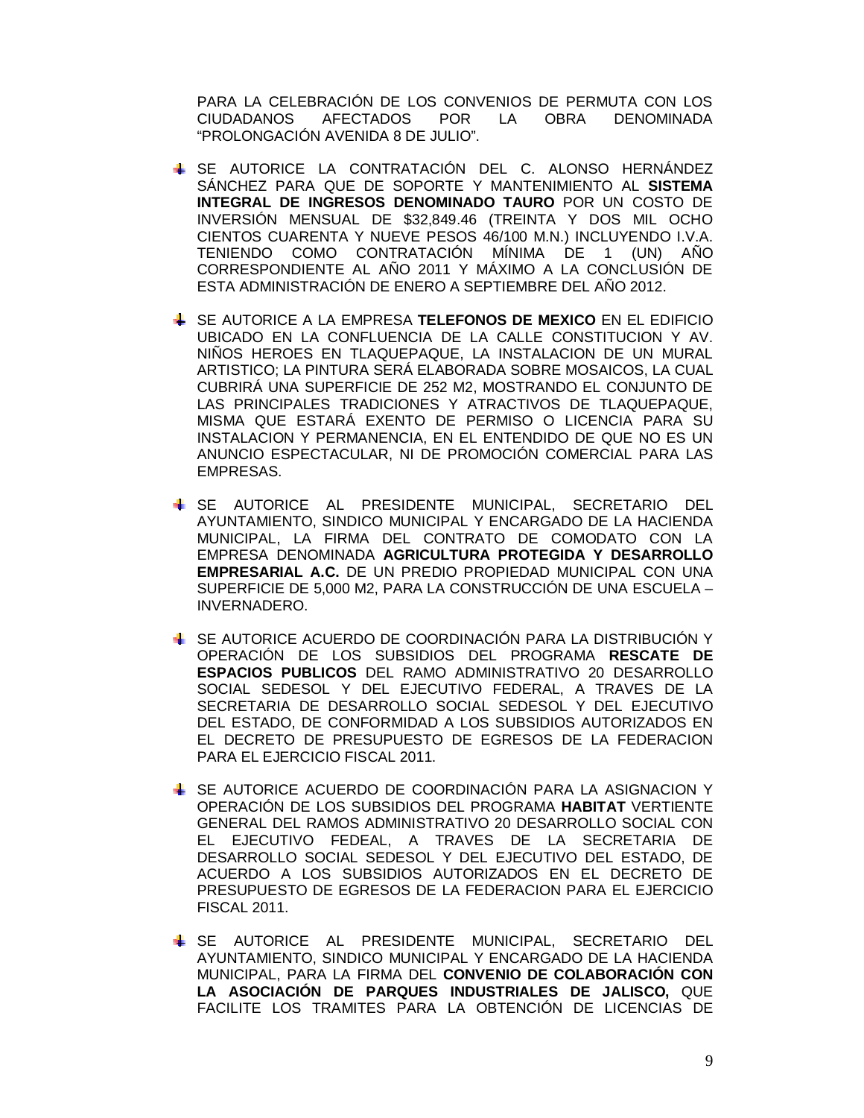PARA LA CELEBRACIÓN DE LOS CONVENIOS DE PERMUTA CON LOS CIUDADANOS AFECTADOS POR LA OBRA DENOMINADA "PROLONGACIÓN AVENIDA 8 DE JULIO".

- SE AUTORICE LA CONTRATACIÓN DEL C. ALONSO HERNÁNDEZ SÁNCHEZ PARA QUE DE SOPORTE Y MANTENIMIENTO AL **SISTEMA INTEGRAL DE INGRESOS DENOMINADO TAURO** POR UN COSTO DE INVERSIÓN MENSUAL DE \$32,849.46 (TREINTA Y DOS MIL OCHO CIENTOS CUARENTA Y NUEVE PESOS 46/100 M.N.) INCLUYENDO I.V.A. TENIENDO COMO CONTRATACIÓN MÍNIMA DE 1 (UN) AÑO CORRESPONDIENTE AL AÑO 2011 Y MÁXIMO A LA CONCLUSIÓN DE ESTA ADMINISTRACIÓN DE ENERO A SEPTIEMBRE DEL AÑO 2012.
- SE AUTORICE A LA EMPRESA **TELEFONOS DE MEXICO** EN EL EDIFICIO UBICADO EN LA CONFLUENCIA DE LA CALLE CONSTITUCION Y AV. NIÑOS HEROES EN TLAQUEPAQUE, LA INSTALACION DE UN MURAL ARTISTICO; LA PINTURA SERÁ ELABORADA SOBRE MOSAICOS, LA CUAL CUBRIRÁ UNA SUPERFICIE DE 252 M2, MOSTRANDO EL CONJUNTO DE LAS PRINCIPALES TRADICIONES Y ATRACTIVOS DE TLAQUEPAQUE, MISMA QUE ESTARÁ EXENTO DE PERMISO O LICENCIA PARA SU INSTALACION Y PERMANENCIA, EN EL ENTENDIDO DE QUE NO ES UN ANUNCIO ESPECTACULAR, NI DE PROMOCIÓN COMERCIAL PARA LAS EMPRESAS.
- SE AUTORICE AL PRESIDENTE MUNICIPAL, SECRETARIO DEL AYUNTAMIENTO, SINDICO MUNICIPAL Y ENCARGADO DE LA HACIENDA MUNICIPAL, LA FIRMA DEL CONTRATO DE COMODATO CON LA EMPRESA DENOMINADA **AGRICULTURA PROTEGIDA Y DESARROLLO EMPRESARIAL A.C.** DE UN PREDIO PROPIEDAD MUNICIPAL CON UNA SUPERFICIE DE 5,000 M2, PARA LA CONSTRUCCIÓN DE UNA ESCUELA – INVERNADERO.
- SE AUTORICE ACUERDO DE COORDINACIÓN PARA LA DISTRIBUCIÓN Y OPERACIÓN DE LOS SUBSIDIOS DEL PROGRAMA **RESCATE DE ESPACIOS PUBLICOS** DEL RAMO ADMINISTRATIVO 20 DESARROLLO SOCIAL SEDESOL Y DEL EJECUTIVO FEDERAL, A TRAVES DE LA SECRETARIA DE DESARROLLO SOCIAL SEDESOL Y DEL EJECUTIVO DEL ESTADO, DE CONFORMIDAD A LOS SUBSIDIOS AUTORIZADOS EN EL DECRETO DE PRESUPUESTO DE EGRESOS DE LA FEDERACION PARA EL EJERCICIO FISCAL 2011.
- SE AUTORICE ACUERDO DE COORDINACIÓN PARA LA ASIGNACION Y OPERACIÓN DE LOS SUBSIDIOS DEL PROGRAMA **HABITAT** VERTIENTE GENERAL DEL RAMOS ADMINISTRATIVO 20 DESARROLLO SOCIAL CON EL EJECUTIVO FEDEAL, A TRAVES DE LA SECRETARIA DE DESARROLLO SOCIAL SEDESOL Y DEL EJECUTIVO DEL ESTADO, DE ACUERDO A LOS SUBSIDIOS AUTORIZADOS EN EL DECRETO DE PRESUPUESTO DE EGRESOS DE LA FEDERACION PARA EL EJERCICIO FISCAL 2011.
- SE AUTORICE AL PRESIDENTE MUNICIPAL, SECRETARIO DEL AYUNTAMIENTO, SINDICO MUNICIPAL Y ENCARGADO DE LA HACIENDA MUNICIPAL, PARA LA FIRMA DEL **CONVENIO DE COLABORACIÓN CON LA ASOCIACIÓN DE PARQUES INDUSTRIALES DE JALISCO,** QUE FACILITE LOS TRAMITES PARA LA OBTENCIÓN DE LICENCIAS DE